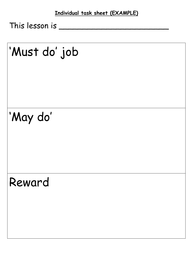This lesson is \_\_\_\_\_\_\_\_\_\_\_\_\_\_\_\_\_\_\_\_\_\_\_

# 'Must do' job

# 'May do'

## Reward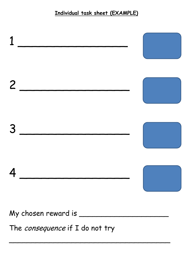#### **Individual task sheet (EXAMPLE)**



\_\_\_\_\_\_\_\_\_\_\_\_\_\_\_\_\_\_\_\_\_\_\_\_\_\_\_\_\_\_\_\_\_\_\_\_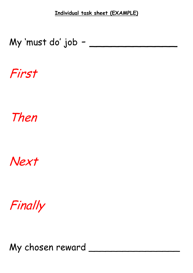**Individual task sheet (EXAMPLE)**

#### My 'must do' job -

First

## Then

### Next

Finally

My chosen reward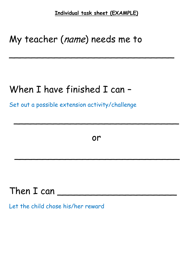**Individual task sheet (EXAMPLE)**

 $\mathcal{L}$  , and the set of the set of the set of the set of the set of the set of the set of the set of the set of

#### My teacher (name) needs me to

#### When I have finished I can –

Set out a possible extension activity/challenge

or

 $\overline{\phantom{a}}$  , and the contract of the contract of the contract of the contract of the contract of the contract of the contract of the contract of the contract of the contract of the contract of the contract of the contrac

 $\overline{\phantom{a}}$ 

#### Then I can \_\_\_\_\_\_\_\_\_\_\_\_\_\_\_\_\_\_\_\_\_

Let the child chose his/her reward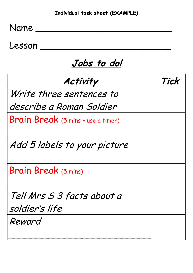| Tick |
|------|
|      |
|      |
|      |
|      |
|      |
|      |
|      |
|      |
|      |